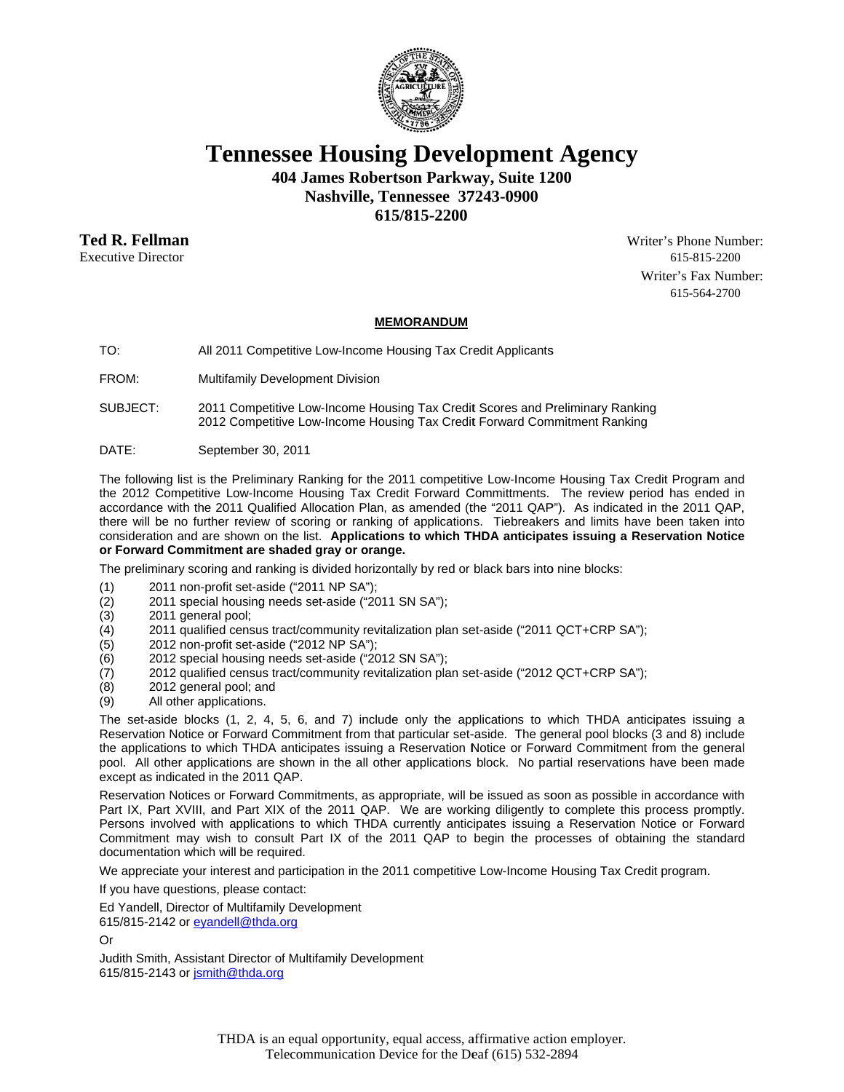

**Tennessee Housing Development Agency** 

404 James Robertson Parkway, Suite 1200

Nashville, Tennessee 37243-0900

615/815-2200

Ted R. Fellman **Executive Director** 

Writer's Phone Number: 615-815-2200 Writer's Fax Number: 615-564-2700

## **MEMORANDUM**

TO: All 2011 Competitive Low-Income Housing Tax Credit Applicants

FROM: Multifamily Development Division

SUBJECT: 2011 Competitive Low-Income Housing Tax Credit Scores and Preliminary Ranking 2012 Competitive Low-Income Housing Tax Credit Forward Commitment Ranking

DATE: September 30, 2011

The following list is the Preliminary Ranking for the 2011 competitive Low-Income Housing Tax Credit Program and the 2012 Competitive Low-Income Housing Tax Credit Forward Committments. The review period has ended in accordance with the 2011 Qualified Allocation Plan, as amended (the "2011 QAP"). As indicated in the 2011 QAP, there will be no further review of scoring or ranking of applications. Tiebreakers and limits have been taken into consideration and are shown on the list. Applications to which THDA anticipates issuing a Reservation Notice or Forward Commitment are shaded gray or orange.

The preliminary scoring and ranking is divided horizontally by red or black bars into nine blocks:

- 2011 non-profit set-aside ("2011 NP SA");  $(1)$
- 2011 special housing needs set-aside ("2011 SN SA");  $(2)$
- $(3)$ 2011 general pool;
- $(4)$ 2011 qualified census tract/community revitalization plan set-aside ("2011 QCT+CRP SA");
- $(5)$ 2012 non-profit set-aside ("2012 NP SA");
- 2012 special housing needs set-aside ("2012 SN SA");  $(6)$
- $(7)$ 2012 qualified census tract/community revitalization plan set-aside ("2012 QCT+CRP SA");
- $(8)$ 2012 general pool; and
- All other applications.  $(9)$

The set-aside blocks (1, 2, 4, 5, 6, and 7) include only the applications to which THDA anticipates issuing a Reservation Notice or Forward Commitment from that particular set-aside. The general pool blocks (3 and 8) include the applications to which THDA anticipates issuing a Reservation Notice or Forward Commitment from the general pool. All other applications are shown in the all other applications block. No partial reservations have been made except as indicated in the 2011 QAP.

Reservation Notices or Forward Commitments, as appropriate, will be issued as soon as possible in accordance with Part IX, Part XVIII, and Part XIX of the 2011 QAP. We are working diligently to complete this process promptly. Persons involved with applications to which THDA currently anticipates issuing a Reservation Notice or Forward Commitment may wish to consult Part IX of the 2011 QAP to begin the processes of obtaining the standard documentation which will be required.

We appreciate your interest and participation in the 2011 competitive Low-Income Housing Tax Credit program.

If you have questions, please contact:

Ed Yandell, Director of Multifamily Development

615/815-2142 or eyandell@thda.org

Or

Judith Smith, Assistant Director of Multifamily Development 615/815-2143 or jsmith@thda.org